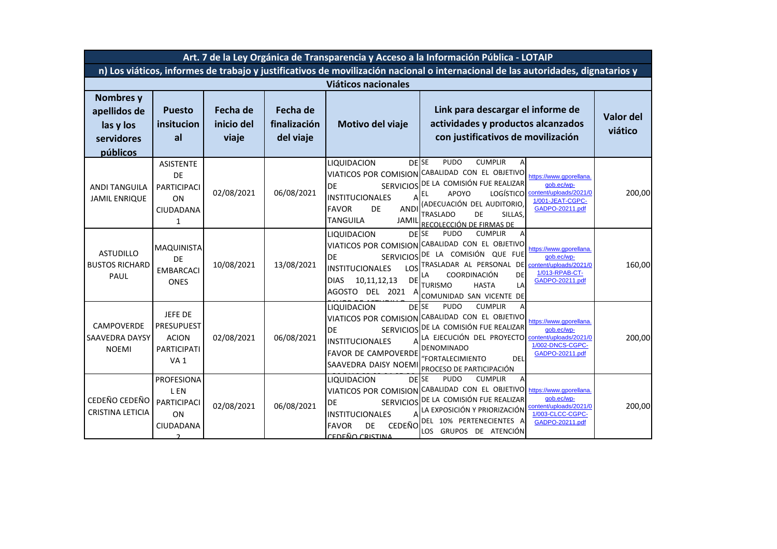| Art. 7 de la Ley Orgánica de Transparencia y Acceso a la Información Pública - LOTAIP                                            |                                                                                       |                                        |                                       |                                                                                                                                                                          |                                                                                                                                                                                                                                                    |                                                                                                        |                             |  |
|----------------------------------------------------------------------------------------------------------------------------------|---------------------------------------------------------------------------------------|----------------------------------------|---------------------------------------|--------------------------------------------------------------------------------------------------------------------------------------------------------------------------|----------------------------------------------------------------------------------------------------------------------------------------------------------------------------------------------------------------------------------------------------|--------------------------------------------------------------------------------------------------------|-----------------------------|--|
| n) Los viáticos, informes de trabajo y justificativos de movilización nacional o internacional de las autoridades, dignatarios y |                                                                                       |                                        |                                       |                                                                                                                                                                          |                                                                                                                                                                                                                                                    |                                                                                                        |                             |  |
| <b>Viáticos nacionales</b>                                                                                                       |                                                                                       |                                        |                                       |                                                                                                                                                                          |                                                                                                                                                                                                                                                    |                                                                                                        |                             |  |
| Nombres y<br>apellidos de<br>las y los<br>servidores<br>públicos                                                                 | <b>Puesto</b><br>insitucion<br>al                                                     | <b>Fecha de</b><br>inicio del<br>viaje | Fecha de<br>finalización<br>del viaje | Motivo del viaje                                                                                                                                                         | Link para descargar el informe de<br>actividades y productos alcanzados<br>con justificativos de movilización                                                                                                                                      |                                                                                                        | <b>Valor del</b><br>viático |  |
| <b>ANDI TANGUILA</b><br><b>JAMIL ENRIQUE</b>                                                                                     | <b>ASISTENTE</b><br>DE<br>PARTICIPACI<br>ON<br>CIUDADANA<br>1                         | 02/08/2021                             | 06/08/2021                            | <b>DESE</b><br>LIQUIDACION<br>DE<br><b>SERVICIOS</b><br><b>INSTITUCIONALES</b><br><b>ANDI</b><br><b>FAVOR</b><br>DE<br><b>TANGUILA</b><br>JAMIL                          | <b>PUDO</b><br><b>CUMPLIR</b><br>VIATICOS POR COMISION CABALIDAD CON EL OBJETIVO<br>DE LA COMISIÓN FUE REALIZAR<br>LOGÍSTICO<br><b>APOYO</b><br>EL<br>(ADECUACIÓN DEL AUDITORIO<br><b>TRASLADO</b><br>DE<br>SILLAS,<br>RECOLECCIÓN DE FIRMAS DE    | https://www.gporellana.<br>aob.ec/wp-<br>content/uploads/2021/0<br>1/001-JEAT-CGPC-<br>GADPO-20211.pdf | 200,00                      |  |
| <b>ASTUDILLO</b><br><b>BUSTOS RICHARD</b><br>PAUL                                                                                | <b>MAQUINISTA</b><br>DE<br><b>EMBARCACI</b><br><b>ONES</b>                            | 10/08/2021                             | 13/08/2021                            | <b>DESE</b><br>LIQUIDACION<br><b>DE</b><br><b>INSTITUCIONALES</b><br>LOS<br><b>DE</b><br><b>DIAS</b><br>10,11,12,13<br><b>AGOSTO</b><br>DEL 2021<br>Α                    | <b>PUDO</b><br><b>CUMPLIR</b><br>Α<br>VIATICOS POR COMISION CABALIDAD CON EL OBJETIVO<br>SERVICIOS DE LA COMISIÓN QUE FUE<br>TRASLADAR AL PERSONAL<br>DE<br>COORDINACIÓN<br>DE<br><b>TURISMO</b><br><b>HASTA</b><br>LA<br>COMUNIDAD SAN VICENTE DE | https://www.gporellana.<br>aob.ec/wp-<br>content/uploads/2021/0<br>1/013-RPAB-CT-<br>GADPO-20211.pdf   | 160,00                      |  |
| <b>CAMPOVERDE</b><br>SAAVEDRA DAYSY<br><b>NOEMI</b>                                                                              | JEFE DE<br><b>PRESUPUEST</b><br><b>ACION</b><br><b>PARTICIPATI</b><br>VA <sub>1</sub> | 02/08/2021                             | 06/08/2021                            | LIQUIDACION<br><b>DESE</b><br><b>DE</b><br><b>INSTITUCIONALES</b><br>FAVOR DE CAMPOVERDE<br>SAAVEDRA DAISY NOEMI                                                         | <b>PUDO</b><br><b>CUMPLIR</b><br>A<br>VIATICOS POR COMISION CABALIDAD CON EL OBJETIVO<br>SERVICIOS DE LA COMISIÓN FUE REALIZAR<br>LA EJECUCIÓN DEL PROYECTO<br><b>DENOMINADO</b><br>'FORTALECIMIENTO<br>DEL<br>PROCESO DE PARTICIPACIÓN            | https://www.gporellana<br>qob.ec/wp-<br>content/uploads/2021/0<br>1/002-DNCS-CGPC-<br>GADPO-20211.pdf  | 200,00                      |  |
| CEDEÑO CEDEÑO<br>CRISTINA LETICIA                                                                                                | PROFESIONA<br>L EN<br>PARTICIPACI<br>ON<br>CIUDADANA                                  | 02/08/2021                             | 06/08/2021                            | <b>DESE</b><br>LIQUIDACION<br>VIATICOS POR COMISION<br>DE<br><b>SERVICIOS</b><br><b>INSTITUCIONALES</b><br><b>CEDEÑO</b><br><b>FAVOR</b><br>DE<br><u>CEDEÑO CRISTINA</u> | <b>PUDO</b><br><b>CUMPLIR</b><br>A<br>CABALIDAD CON EL OBJETIVO<br>DE LA COMISIÓN FUE REALIZAR<br>LA EXPOSICIÓN Y PRIORIZACIÓN<br>DEL 10% PERTENECIENTES A<br>LOS GRUPOS DE ATENCIÓN                                                               | https://www.gporellana<br>qob.ec/wp-<br>content/uploads/2021/0<br>1/003-CLCC-CGPC-<br>GADPO-20211.pdf  | 200,00                      |  |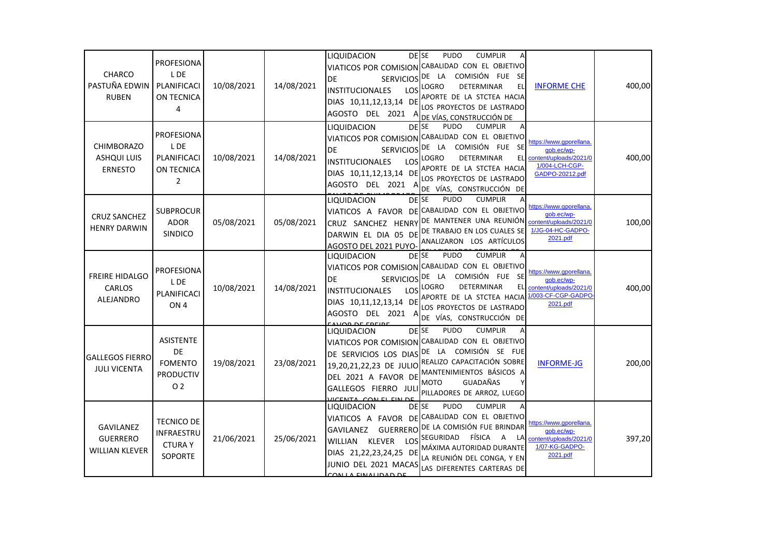| <b>CHARCO</b><br>PASTUÑA EDWIN<br><b>RUBEN</b>               | <b>PROFESIONA</b><br>L DE<br>PLANIFICACI<br>ON TECNICA<br>4                    | 10/08/2021 | 14/08/2021 | DE SE<br>LIQUIDACION<br>DE<br><b>SERVICIOS</b><br><b>INSTITUCIONALES</b><br>LOS<br>DIAS 10,11,12,13,14 DE<br>AGOSTO DEL 2021 A                                        | <b>PUDO</b><br><b>CUMPLIR</b><br>VIATICOS POR COMISION CABALIDAD CON EL OBJETIVO<br>COMISIÓN FUE SE<br>DE LA<br>DETERMINAR<br>EL<br><b>LOGRO</b><br>APORTE DE LA STCTEA HACIA<br>LOS PROYECTOS DE LASTRADO<br>DE VÍAS, CONSTRUCCIÓN DE                              | <b>INFORME CHE</b>                                                                                  | 400,00 |
|--------------------------------------------------------------|--------------------------------------------------------------------------------|------------|------------|-----------------------------------------------------------------------------------------------------------------------------------------------------------------------|---------------------------------------------------------------------------------------------------------------------------------------------------------------------------------------------------------------------------------------------------------------------|-----------------------------------------------------------------------------------------------------|--------|
| <b>CHIMBORAZO</b><br><b>ASHQUI LUIS</b><br><b>ERNESTO</b>    | <b>PROFESIONA</b><br>L DE<br>PLANIFICACI<br>ON TECNICA<br>$\overline{2}$       | 10/08/2021 | 14/08/2021 | LIQUIDACION<br><b>DFISE</b><br>VIATICOS POR COMISION<br><b>SERVICIOS</b><br>DF<br>LOS<br><b>INSTITUCIONALES</b><br>DIAS 10,11,12,13,14 DE<br>AGOSTO DEL 2021<br>A     | <b>CUMPLIR</b><br><b>PUDO</b><br>Α<br>CABALIDAD CON EL OBJETIVO<br>LA COMISIÓN FUE SE<br>DE<br><b>LOGRO</b><br><b>DETERMINAR</b><br>EL<br>APORTE DE LA STCTEA HACIA<br>LOS PROYECTOS DE LASTRADO<br>DE VÍAS, CONSTRUCCIÓN DE                                        | https://www.gporellana<br>qob.ec/wp-<br>content/uploads/2021/0<br>1/004-LCH-CGP-<br>GADPO-20212.pdf | 400,00 |
| <b>CRUZ SANCHEZ</b><br><b>HENRY DARWIN</b>                   | <b>SUBPROCUR</b><br><b>ADOR</b><br><b>SINDICO</b>                              | 05/08/2021 | 05/08/2021 | <b>DESE</b><br>LIQUIDACION<br>AGOSTO DEL 2021 PUYO-                                                                                                                   | <b>PUDO</b><br><b>CUMPLIR</b><br>VIATICOS A FAVOR DE CABALIDAD CON EL OBJETIVO<br>CRUZ SANCHEZ HENRY DE MANTENER UNA REUNIÓN<br>DARWIN EL DIA 05 DE DE TRABAJO EN LOS CUALES SE<br>ANALIZARON LOS ARTÍCULOS                                                         | https://www.gporellana<br>qob.ec/wp-<br>content/uploads/2021/0<br>1/JG-04-HC-GADPO-<br>2021.pdf     | 100,00 |
| <b>FREIRE HIDALGO</b><br>CARLOS<br>ALEJANDRO                 | PROFESIONA<br>L DE<br>PLANIFICACI<br>ON <sub>4</sub>                           | 10/08/2021 | 14/08/2021 | DE <sub>SE</sub><br>LIQUIDACION<br><b>SERVICIOS</b><br>DE<br>LOS<br><b>INSTITUCIONALES</b><br>DIAS 10,11,12,13,14 DE<br>AGOSTO DEL 2021<br>A                          | <b>CUMPLIR</b><br><b>PUDO</b><br>Α<br>VIATICOS POR COMISION CABALIDAD CON EL OBJETIVO<br>DE LA COMISIÓN FUE SE<br>LOGRO<br>DETERMINAR<br><b>EL</b><br>APORTE DE LA STCTEA HACIA<br>LOS PROYECTOS DE LASTRADO<br>DE VÍAS, CONSTRUCCIÓN DE                            | https://www.gporellana<br>qob.ec/wp-<br>content/uploads/2021/0<br>/003-CF-CGP-GADPC<br>2021.pdf     | 400,00 |
| <b>GALLEGOS FIERRO</b><br><b>JULI VICENTA</b>                | <b>ASISTENTE</b><br>DE<br><b>FOMENTO</b><br><b>PRODUCTIV</b><br>O <sub>2</sub> | 19/08/2021 | 23/08/2021 | <b>DFISE</b><br>LIQUIDACION<br><b>VIATICOS POR COMISION</b><br>DE SERVICIOS LOS DIAS<br>DEL 2021 A FAVOR DE<br>GALLEGOS FIERRO JULI<br><b>HOENTA</b><br>CON EL EIN DE | PUDO<br><b>CUMPLIR</b><br>A<br>CABALIDAD CON EL OBJETIVO<br>DE LA COMISIÓN SE FUE<br>19,20,21,22,23 DE JULIO REALIZO CAPACITACIÓN SOBRE<br>MANTENIMIENTOS BÁSICOS A<br><b>GUADAÑAS</b><br><b>MOTO</b><br>PILLADORES DE ARROZ, LUEGO                                 | <b>INFORME-JG</b>                                                                                   | 200,00 |
| <b>GAVILANEZ</b><br><b>GUERRERO</b><br><b>WILLIAN KLEVER</b> | <b>TECNICO DE</b><br>INFRAESTRU<br><b>CTURAY</b><br>SOPORTE                    | 21/06/2021 | 25/06/2021 | <b>DESE</b><br>LIQUIDACION<br><b>GUERRERO</b><br>GAVILANEZ<br><b>WILLIAN</b><br>KLEVER<br>DIAS 21,22,23,24,25 DE<br>JUNIO DEL 2021 MACAS<br>CON LA EINALIDAD DE       | <b>PUDO</b><br><b>CUMPLIR</b><br>Α<br>VIATICOS A FAVOR DE CABALIDAD CON EL OBJETIVO<br>DE LA COMISIÓN FUE BRINDAR<br>LOS SEGURIDAD<br>FÍSICA<br>$\overline{A}$<br><b>LA</b><br>MÁXIMA AUTORIDAD DURANTE<br>LA REUNIÓN DEL CONGA, Y EN<br>LAS DIFERENTES CARTERAS DE | https://www.gporellana<br>gob.ec/wp-<br>content/uploads/2021/0<br>1/07-KG-GADPO-<br>2021.pdf        | 397,20 |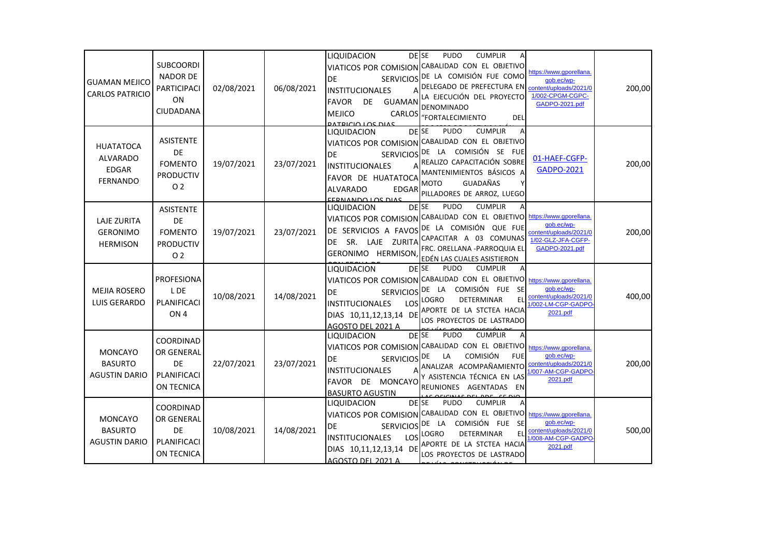| <b>GUAMAN MEJICO</b><br><b>CARLOS PATRICIO</b>                         | <b>SUBCOORDI</b><br><b>NADOR DE</b><br>PARTICIPACI<br>ON<br>CIUDADANA                 | 02/08/2021 | 06/08/2021 | <b>LIQUIDACION</b><br>VIATICOS POR COMISION<br><b>SERVICIOS</b><br>DE<br><b>INSTITUCIONALES</b><br>А<br><b>FAVOR</b><br>DE<br><b>GUAMAN</b><br><b>MEJICO</b><br>CARLOS<br><b>DATPICIO LOS DIAS</b> | <b>PUDO</b><br><b>CUMPLIR</b><br>DE SE<br>CABALIDAD CON EL OBJETIVO<br>DE LA COMISIÓN FUE COMO<br>DELEGADO DE PREFECTURA EN<br>LA EJECUCIÓN DEL PROYECTO<br><b>DENOMINADO</b><br>"FORTALECIMIENTO<br>DEL                          | https://www.gporellana.<br>qob.ec/wp-<br>content/uploads/2021/0<br>1/002-CPGM-CGPC-<br>GADPO-2021.pdf   | 200,00 |
|------------------------------------------------------------------------|---------------------------------------------------------------------------------------|------------|------------|----------------------------------------------------------------------------------------------------------------------------------------------------------------------------------------------------|-----------------------------------------------------------------------------------------------------------------------------------------------------------------------------------------------------------------------------------|---------------------------------------------------------------------------------------------------------|--------|
| <b>HUATATOCA</b><br><b>ALVARADO</b><br><b>EDGAR</b><br><b>FERNANDO</b> | <b>ASISTENTE</b><br><b>DE</b><br><b>FOMENTO</b><br><b>PRODUCTIV</b><br>O <sub>2</sub> | 19/07/2021 | 23/07/2021 | <b>DEISE</b><br><b>LIQUIDACION</b><br>DE<br><b>SERVICIOS</b><br><b>INSTITUCIONALES</b><br>FAVOR DE HUATATOCA<br><b>ALVARADO</b><br>EDGAR<br><b>EEDNANDO LOS DIAS</b>                               | <b>PUDO</b><br><b>CUMPLIR</b><br>A<br>VIATICOS POR COMISION CABALIDAD CON EL OBJETIVO<br>DE LA COMISIÓN SE FUE<br>REALIZO CAPACITACIÓN SOBRE<br>MANTENIMIENTOS BÁSICOS A<br>GUADAÑAS<br><b>MOTO</b><br>PILLADORES DE ARROZ, LUEGO | 01-HAEF-CGFP-<br><b>GADPO-2021</b>                                                                      | 200,00 |
| <b>LAJE ZURITA</b><br><b>GERONIMO</b><br><b>HERMISON</b>               | <b>ASISTENTE</b><br>DE<br><b>FOMENTO</b><br><b>PRODUCTIV</b><br>O <sub>2</sub>        | 19/07/2021 | 23/07/2021 | <b>DESE</b><br>LIQUIDACION<br>DE SERVICIOS A FAVOS<br>LAJE ZURITA<br>DE SR.<br>GERONIMO HERMISON                                                                                                   | <b>PUDO</b><br><b>CUMPLIR</b><br>VIATICOS POR COMISION CABALIDAD CON EL OBJETIVO<br>DE LA COMISIÓN QUE FUE<br>CAPACITAR A 03 COMUNAS<br>FRC. ORELLANA -PARROQUIA EL<br>EDÉN LAS CUALES ASISTIERON                                 | https://www.gporellana.<br>qob.ec/wp-<br>content/uploads/2021/0<br>1/02-GLZ-JFA-CGFP-<br>GADPO-2021.pdf | 200,00 |
| <b>MEJIA ROSERO</b><br><b>LUIS GERARDO</b>                             | <b>PROFESIONA</b><br>L DE<br>PLANIFICACI<br>ON <sub>4</sub>                           | 10/08/2021 | 14/08/2021 | LIQUIDACION<br><b>SERVICIOS</b><br>DE<br>LOS<br><b>INSTITUCIONALES</b><br>DIAS 10,11,12,13,14 DE<br>AGOSTO DEL 2021 A                                                                              | <b>PUDO</b><br>DE SE<br><b>CUMPLIR</b><br>VIATICOS POR COMISION CABALIDAD CON EL OBJETIVO<br>LA COMISIÓN FUE SE<br>DE<br><b>DETERMINAR</b><br><b>LOGRO</b><br>EL<br>APORTE DE LA STCTEA HACIA<br>LOS PROYECTOS DE LASTRADO        | https://www.gporellana.<br>aob.ec/wp-<br>content/uploads/2021/0<br>/002-LM-CGP-GADPO<br>2021.pdf        | 400,00 |
| <b>MONCAYO</b><br><b>BASURTO</b><br><b>AGUSTIN DARIO</b>               | COORDINAD<br>OR GENERAL<br><b>DE</b><br>PLANIFICACI<br>ON TECNICA                     | 22/07/2021 | 23/07/2021 | DE <sub>SE</sub><br>LIQUIDACION<br>VIATICOS POR COMISION<br><b>DE</b><br><b>SERVICIOS</b><br><b>INSTITUCIONALES</b><br>FAVOR DE MONCAYO<br><b>BASURTO AGUSTIN</b>                                  | PUDO<br><b>CUMPLIR</b><br>CABALIDAD CON EL OBJETIVO<br><b>COMISIÓN</b><br>DE<br>LA<br><b>FUE</b><br>ANALIZAR ACOMPAÑAMIENTO<br>Y ASISTENCIA TÉCNICA EN LAS<br>REUNIONES AGENTADAS<br>EN                                           | https://www.gporellana<br>aob.ec/wp-<br>content/uploads/2021/0<br>/007-AM-CGP-GADPO<br>2021.pdf         | 200,00 |
| <b>MONCAYO</b><br><b>BASURTO</b><br><b>AGUSTIN DARIO</b>               | COORDINAD<br>OR GENERAL<br>DE<br>PLANIFICACI<br>ON TECNICA                            | 10/08/2021 | 14/08/2021 | DE <sub>SE</sub><br>LIQUIDACION<br><b>DE</b><br><b>SERVICIOS</b><br><b>INSTITUCIONALES</b><br>DIAS 10,11,12,13,14 DE<br>AGOSTO DEL 2021 A                                                          | PUDO<br><b>CUMPLIR</b><br>VIATICOS POR COMISION CABALIDAD CON EL OBJETIVO<br>LA COMISIÓN FUE SE<br>DE<br>LOS LOGRO<br>DETERMINAR<br>EL<br>APORTE DE LA STCTEA HACIA<br>LOS PROYECTOS DE LASTRADO                                  | https://www.gporellana.<br>gob.ec/wp-<br>content/uploads/2021/0<br>/008-AM-CGP-GADPO<br>2021.pdf        | 500,00 |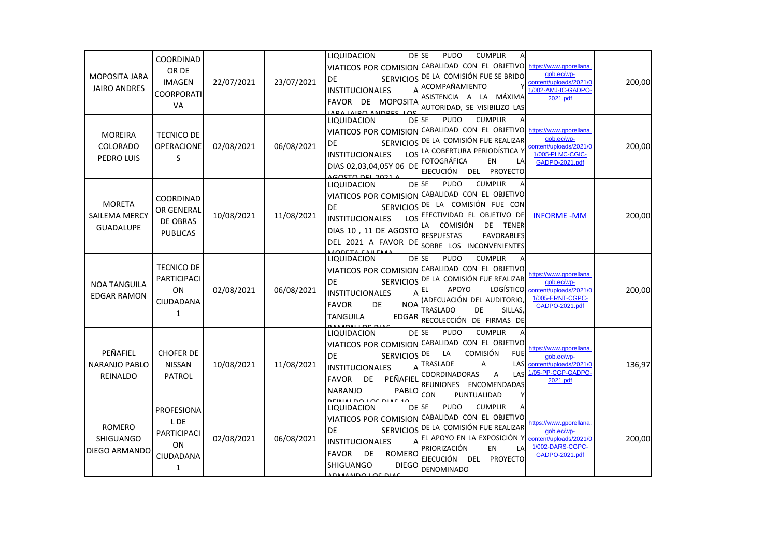| MOPOSITA JARA<br><b>JAIRO ANDRES</b>               | COORDINAD<br>OR DE<br><b>IMAGEN</b><br>COORPORATI<br>VA                | 22/07/2021 | 23/07/2021 | <b>DESE</b><br>LIQUIDACION<br>DE<br><b>INSTITUCIONALES</b><br>А<br>FAVOR DE MOPOSITA<br><b>IABA IAIDO ANDDEC LOC</b>                                           | <b>PUDO</b><br><b>CUMPLIR</b><br>VIATICOS POR COMISION CABALIDAD CON EL OBJETIVO<br>SERVICIOS DE LA COMISIÓN FUE SE BRIDO<br>ACOMPAÑAMIENTO<br>ASISTENCIA A LA MÁXIMA<br>AUTORIDAD, SE VISIBILIZO LAS                                                        | https://www.gporellana.<br>qob.ec/wp-<br>content/uploads/2021/0<br>1/002-AMJ-IC-GADPO-<br>2021.pdf    | 200,00 |
|----------------------------------------------------|------------------------------------------------------------------------|------------|------------|----------------------------------------------------------------------------------------------------------------------------------------------------------------|--------------------------------------------------------------------------------------------------------------------------------------------------------------------------------------------------------------------------------------------------------------|-------------------------------------------------------------------------------------------------------|--------|
| <b>MOREIRA</b><br>COLORADO<br>PEDRO LUIS           | <b>TECNICO DE</b><br><b>OPERACIONE</b><br>S                            | 02/08/2021 | 06/08/2021 | LIQUIDACION<br><b>SERVICIOS</b><br>DE<br><b>INSTITUCIONALES</b><br>DIAS 02,03,04,05Y 06 DE<br><u>LCOSTO DEL 2021 A</u>                                         | <b>PUDO</b><br><b>DESE</b><br><b>CUMPLIR</b><br>А<br>VIATICOS POR COMISION CABALIDAD CON EL OBJETIVO<br>DE LA COMISIÓN FUE REALIZAR<br>LOS LA COBERTURA PERIODÍSTICA Y<br><b>FOTOGRÁFICA</b><br>EN.<br>LA<br><b>EJECUCIÓN</b><br><b>DEL</b><br>PROYECTO      | https://www.gporellana<br>qob.ec/wp-<br>content/uploads/2021/0<br>1/005-PLMC-CGIC-<br>GADPO-2021.pdf  | 200,00 |
| <b>MORETA</b><br>SAILEMA MERCY<br>GUADALUPE        | COORDINAD<br>OR GENERAL<br>DE OBRAS<br><b>PUBLICAS</b>                 | 10/08/2021 | 11/08/2021 | LIQUIDACION<br><b>DEISE</b><br>DE<br><b>INSTITUCIONALES</b><br>DIAS 10, 11 DE AGOSTO<br>DEL 2021 A FAVOR DE                                                    | <b>PUDO</b><br><b>CUMPLIR</b><br>A<br>VIATICOS POR COMISION CABALIDAD CON EL OBJETIVO<br>SERVICIOS DE LA COMISIÓN FUE CON<br>LOS EFECTIVIDAD EL OBJETIVO DE<br>LA COMISIÓN<br>DE TENER<br><b>RESPUESTAS</b><br><b>FAVORABLES</b><br>SOBRE LOS INCONVENIENTES | <b>INFORME-MM</b>                                                                                     | 200,00 |
| <b>NOA TANGUILA</b><br><b>EDGAR RAMON</b>          | <b>TECNICO DE</b><br><b>PARTICIPACI</b><br><b>ON</b><br>CIUDADANA<br>1 | 02/08/2021 | 06/08/2021 | DE SE<br><b>LIQUIDACION</b><br><b>SERVICIOS</b><br>DE<br><b>INSTITUCIONALES</b><br><b>NOA</b><br><b>FAVOR</b><br>DE<br>TANGUILA<br>EDGAR                       | <b>PUDO</b><br><b>CUMPLIR</b><br>Α<br>VIATICOS POR COMISION CABALIDAD CON EL OBJETIVO<br>DE LA COMISIÓN FUE REALIZAR<br>APOYO<br>LOGÍSTICO<br>(ADECUACIÓN DEL AUDITORIO<br>TRASLADO<br>DE<br>SILLAS,<br>RECOLECCIÓN DE FIRMAS DE                             | https://www.gporellana.<br>qob.ec/wp-<br>content/uploads/2021/0<br>1/005-ERNT-CGPC-<br>GADPO-2021.pdf | 200,00 |
| PEÑAFIEL<br><b>NARANJO PABLO</b><br>REINALDO       | <b>CHOFER DE</b><br><b>NISSAN</b><br>PATROL                            | 10/08/2021 | 11/08/2021 | <b>DESE</b><br>LIQUIDACION<br>SERVICIOS <sup>DE</sup><br>DE<br><b>INSTITUCIONALES</b><br>А<br>PEÑAFIEL<br><b>FAVOR</b><br><b>DE</b><br><b>NARANJO</b><br>PABLO | <b>PUDO</b><br><b>CUMPLIR</b><br>Α<br>VIATICOS POR COMISION CABALIDAD CON EL OBJETIVO<br><b>COMISIÓN</b><br>LA<br><b>FUE</b><br><b>TRASLADE</b><br>A<br>LAS<br>COORDINADORAS<br>Α<br>LAS<br>REUNIONES ENCOMENDADAS<br><b>CON</b><br>PUNTUALIDAD<br>Υ         | https://www.gporellana.<br>aob.ec/wp-<br>content/uploads/2021/0<br>1/05-PP-CGP-GADPO<br>2021.pdf      | 136,97 |
| <b>ROMERO</b><br><b>SHIGUANGO</b><br>DIEGO ARMANDO | PROFESIONA<br>L DE<br>PARTICIPACI<br>ON<br>CIUDADANA<br>$\mathbf{1}$   | 02/08/2021 | 06/08/2021 | <b>DESE</b><br>LIQUIDACION<br>DE<br><b>INSTITUCIONALES</b><br>А<br>DE<br><b>ROMERO</b><br><b>FAVOR</b><br>SHIGUANGO<br><b>DIEGO</b>                            | PUDO<br><b>CUMPLIR</b><br>Α<br>VIATICOS POR COMISION CABALIDAD CON EL OBJETIVO<br>SERVICIOS DE LA COMISIÓN FUE REALIZAR<br>EL APOYO EN LA EXPOSICIÓN Y<br>PRIORIZACIÓN<br>EN<br>LA<br>EJECUCIÓN DEL<br>PROYECTO<br><b>DENOMINADO</b>                         | https://www.gporellana<br>qob.ec/wp-<br>content/uploads/2021/0<br>1/002-DARS-CGPC-<br>GADPO-2021.pdf  | 200,00 |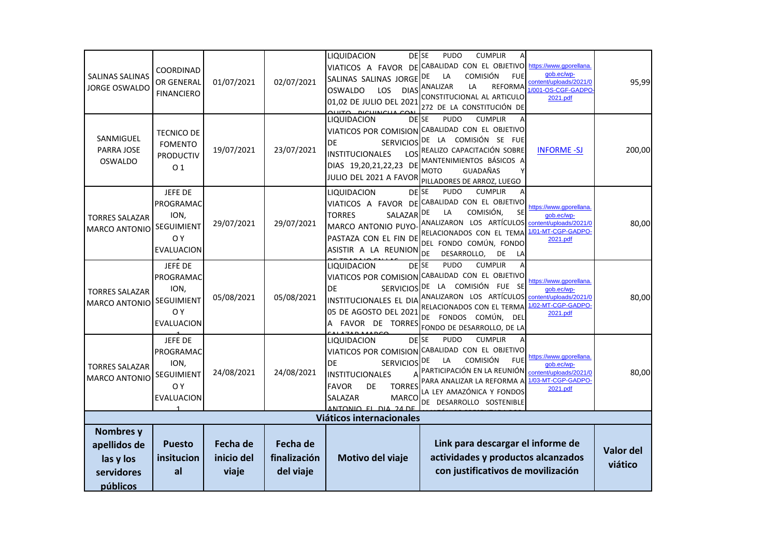| SALINAS SALINAS<br><b>JORGE OSWALDO</b>                          | <b>COORDINAD</b><br>OR GENERAL<br><b>FINANCIERO</b>                           | 01/07/2021                             | 02/07/2021                            | LIQUIDACION<br>SALINAS SALINAS JORGE<br><b>OSWALDO</b><br><b>LOS</b><br>01,02 DE JULIO DEL 2021<br><b>DICUINCUA</b>                                                               | <b>DESE</b><br><b>PUDO</b><br><b>CUMPLIR</b><br>VIATICOS A FAVOR DE CABALIDAD CON EL OBJETIVO<br><b>COMISIÓN</b><br><b>FUE</b><br>DE<br>LA<br><b>DIAS</b> ANALIZAR<br><b>REFORMA</b><br>LA<br>CONSTITUCIONAL AL ARTICULO<br>272 DE LA CONSTITUCIÓN DE  | https://www.gporellana<br>qob.ec/wp-<br>content/uploads/2021/0<br>1/001-OS-CGF-GADPO<br>2021.pdf | 95,99                       |
|------------------------------------------------------------------|-------------------------------------------------------------------------------|----------------------------------------|---------------------------------------|-----------------------------------------------------------------------------------------------------------------------------------------------------------------------------------|--------------------------------------------------------------------------------------------------------------------------------------------------------------------------------------------------------------------------------------------------------|--------------------------------------------------------------------------------------------------|-----------------------------|
| SANMIGUEL<br>PARRA JOSE<br><b>OSWALDO</b>                        | <b>TECNICO DE</b><br><b>FOMENTO</b><br><b>PRODUCTIV</b><br>01                 | 19/07/2021                             | 23/07/2021                            | LIQUIDACION<br>DE<br><b>SERVICIOS</b><br><b>INSTITUCIONALES</b><br>LOS<br>DIAS 19,20,21,22,23 DE<br>JULIO DEL 2021 A FAVOR                                                        | <b>PUDO</b><br><b>CUMPLIR</b><br>DE SE<br>Α<br>VIATICOS POR COMISION CABALIDAD CON EL OBJETIVO<br>DE LA COMISIÓN SE FUE<br>REALIZO CAPACITACIÓN SOBRE<br>MANTENIMIENTOS BÁSICOS A<br><b>GUADAÑAS</b><br><b>MOTO</b><br>۷<br>PILLADORES DE ARROZ, LUEGO | <b>INFORME -SJ</b>                                                                               | 200,00                      |
| <b>TORRES SALAZAR</b><br><b>MARCO ANTONIO</b>                    | JEFE DE<br>PROGRAMAC<br>ION,<br>SEGUIMIENT<br>O Y<br><b>EVALUACION</b>        | 29/07/2021                             | 29/07/2021                            | LIQUIDACION<br><b>TORRES</b><br>SALAZAR<br>MARCO ANTONIO PUYO-<br>PASTAZA CON EL FIN DE<br>ASISTIR A LA REUNION                                                                   | DE SE<br><b>PUDO</b><br><b>CUMPLIR</b><br>VIATICOS A FAVOR DE CABALIDAD CON EL OBJETIVO<br>COMISIÓN.<br>DE<br>LA<br><b>SE</b><br>ANALIZARON LOS ARTÍCULOS<br>RELACIONADOS CON EL TEMA<br>DEL FONDO COMÚN, FONDO<br>DE<br>DE<br>DESARROLLO,<br>LA       | https://www.gporellana<br>qob.ec/wp-<br>content/uploads/2021/0<br>1/01-MT-CGP-GADPO-<br>2021.pdf | 80,00                       |
| <b>TORRES SALAZAR</b><br>MARCO ANTONIO                           | JEFE DE<br>PROGRAMAC<br>ION,<br><b>SEGUIMIENT</b><br>O Y<br><b>EVALUACION</b> | 05/08/2021                             | 05/08/2021                            | LIQUIDACION<br>VIATICOS POR COMISION<br><b>SERVICIOS</b><br><b>DE</b><br>INSTITUCIONALES EL DIA<br>05 DE AGOSTO DEL 2021<br>A FAVOR DE TORRES                                     | <b>CUMPLIR</b><br><b>DESE</b><br><b>PUDO</b><br>A<br>CABALIDAD CON EL OBJETIVO<br>DE LA COMISIÓN FUE SE<br>ANALIZARON LOS ARTÍCULOS<br>RELACIONADOS CON EL TERMA<br>DE FONDOS COMÚN,<br><b>DEL</b><br>FONDO DE DESARROLLO, DE LA                       | https://www.gporellana<br>qob.ec/wp-<br>content/uploads/2021/0<br>1/02-MT-CGP-GADPO<br>2021.pdf  | 80,00                       |
| <b>TORRES SALAZAR</b><br><b>MARCO ANTONIO</b>                    | JEFE DE<br>PROGRAMAC<br>ION,<br>SEGUIMIENT<br>O Y<br><b>EVALUACION</b>        | 24/08/2021                             | 24/08/2021                            | LIQUIDACION<br>VIATICOS POR COMISION<br>DE<br><b>SERVICIOS</b><br><b>INSTITUCIONALES</b><br>А<br><b>TORRES</b><br><b>FAVOR</b><br>DE<br>SALAZAR<br><b>MARCO</b><br>ANTONIO EL DIA | <b>PUDO</b><br><b>CUMPLIR</b><br><b>DESE</b><br>CABALIDAD CON EL OBJETIVO<br><b>COMISIÓN</b><br>LA<br><b>FUE</b><br>DE<br>PARTICIPACIÓN EN LA REUNIÓN<br>PARA ANALIZAR LA REFORMA A<br>LA LEY AMAZÓNICA Y FONDOS<br>DE DESARROLLO SOSTENIBLE           | https://www.gporellana<br>qob.ec/wp-<br>content/uploads/2021/0<br>1/03-MT-CGP-GADPO-<br>2021.pdf | 80,00                       |
| <b>Viáticos internacionales</b>                                  |                                                                               |                                        |                                       |                                                                                                                                                                                   |                                                                                                                                                                                                                                                        |                                                                                                  |                             |
| Nombres y<br>apellidos de<br>las y los<br>servidores<br>públicos | <b>Puesto</b><br>insitucion<br>al                                             | <b>Fecha de</b><br>inicio del<br>viaje | Fecha de<br>finalización<br>del viaje | Motivo del viaje                                                                                                                                                                  | Link para descargar el informe de<br>actividades y productos alcanzados<br>con justificativos de movilización                                                                                                                                          |                                                                                                  | <b>Valor del</b><br>viático |